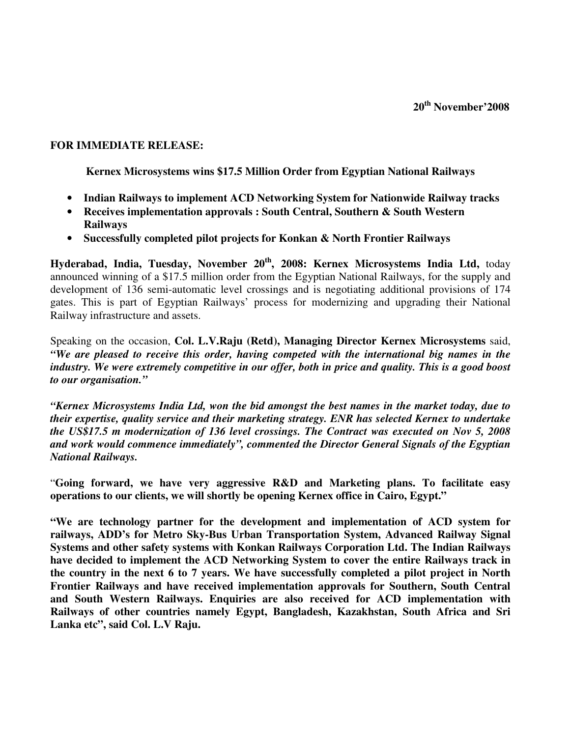## **FOR IMMEDIATE RELEASE:**

**Kernex Microsystems wins \$17.5 Million Order from Egyptian National Railways** 

- **Indian Railways to implement ACD Networking System for Nationwide Railway tracks**
- **Receives implementation approvals : South Central, Southern & South Western Railways**
- **Successfully completed pilot projects for Konkan & North Frontier Railways**

**Hyderabad, India, Tuesday, November 20th, 2008: Kernex Microsystems India Ltd,** today announced winning of a \$17.5 million order from the Egyptian National Railways, for the supply and development of 136 semi-automatic level crossings and is negotiating additional provisions of 174 gates. This is part of Egyptian Railways' process for modernizing and upgrading their National Railway infrastructure and assets.

Speaking on the occasion, **Col. L.V.Raju (Retd), Managing Director Kernex Microsystems** said, *"We are pleased to receive this order, having competed with the international big names in the industry. We were extremely competitive in our offer, both in price and quality. This is a good boost to our organisation."*

*"Kernex Microsystems India Ltd, won the bid amongst the best names in the market today, due to their expertise, quality service and their marketing strategy. ENR has selected Kernex to undertake the US\$17.5 m modernization of 136 level crossings. The Contract was executed on Nov 5, 2008 and work would commence immediately", commented the Director General Signals of the Egyptian National Railways.* 

"**Going forward, we have very aggressive R&D and Marketing plans. To facilitate easy operations to our clients, we will shortly be opening Kernex office in Cairo, Egypt."** 

**"We are technology partner for the development and implementation of ACD system for railways, ADD's for Metro Sky-Bus Urban Transportation System, Advanced Railway Signal Systems and other safety systems with Konkan Railways Corporation Ltd. The Indian Railways have decided to implement the ACD Networking System to cover the entire Railways track in the country in the next 6 to 7 years. We have successfully completed a pilot project in North Frontier Railways and have received implementation approvals for Southern, South Central and South Western Railways. Enquiries are also received for ACD implementation with Railways of other countries namely Egypt, Bangladesh, Kazakhstan, South Africa and Sri Lanka etc", said Col. L.V Raju.**